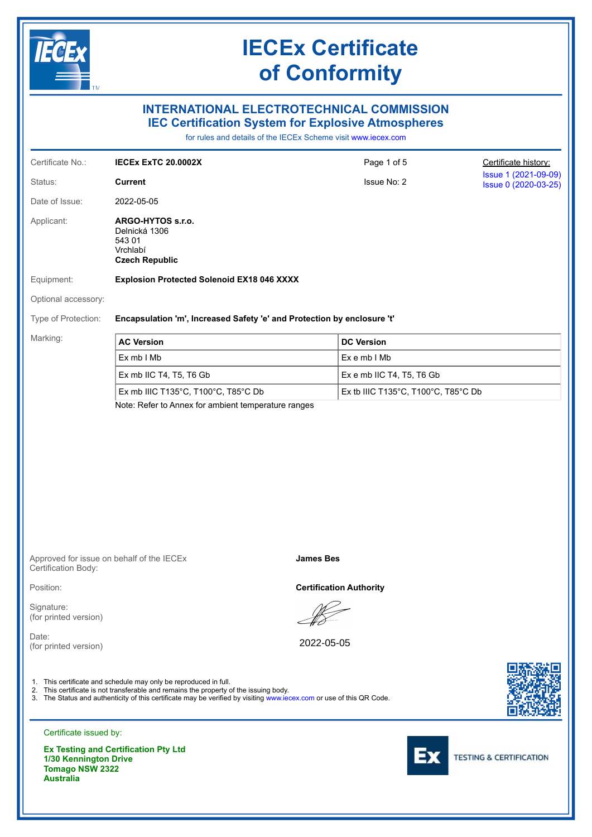

Certificate issued by:

**Ex Testing and Certification Pty Ltd 1/30 Kennington Drive Tomago NSW 2322 Australia**



**TESTING & CERTIFICATION**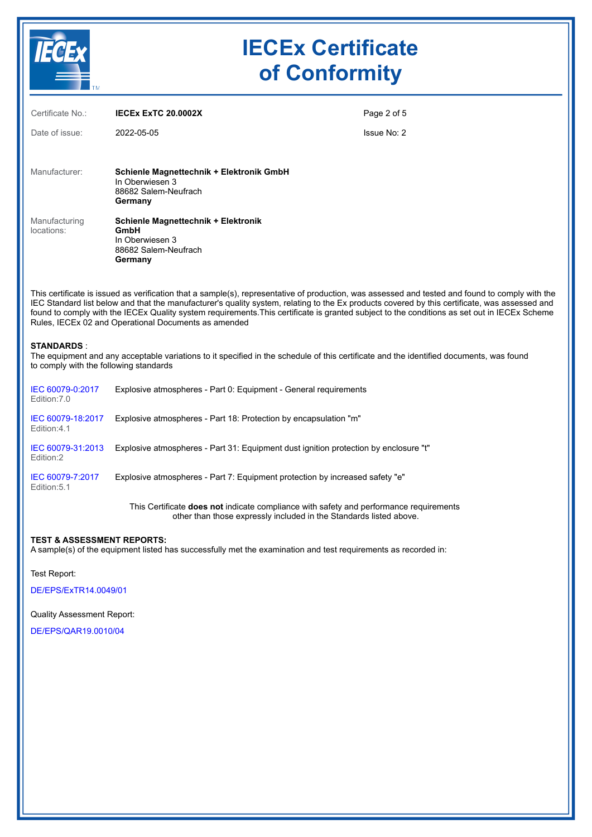

| Certificate No.:            | <b>IECEX EXTC 20.0002X</b>                                                                                                                                                                                                                                                                                                                                                                                                                                                                               | Page 2 of 5 |
|-----------------------------|----------------------------------------------------------------------------------------------------------------------------------------------------------------------------------------------------------------------------------------------------------------------------------------------------------------------------------------------------------------------------------------------------------------------------------------------------------------------------------------------------------|-------------|
| Date of issue:              | 2022-05-05                                                                                                                                                                                                                                                                                                                                                                                                                                                                                               | Issue No: 2 |
| Manufacturer:               | Schienle Magnettechnik + Elektronik GmbH<br>In Oberwiesen 3<br>88682 Salem-Neufrach<br>Germany                                                                                                                                                                                                                                                                                                                                                                                                           |             |
| Manufacturing<br>locations: | Schienle Magnettechnik + Elektronik<br>GmbH<br>In Oberwiesen 3<br>88682 Salem-Neufrach<br>Germany                                                                                                                                                                                                                                                                                                                                                                                                        |             |
|                             | This certificate is issued as verification that a sample(s), representative of production, was assessed and tested and found to comply with the<br>IEC Standard list below and that the manufacturer's quality system, relating to the Ex products covered by this certificate, was assessed and<br>found to comply with the IECEx Quality system requirements. This certificate is granted subject to the conditions as set out in IECEx Scheme<br>Rules, IECEx 02 and Operational Documents as amended |             |

**STANDARDS** :

The equipment and any acceptable variations to it specified in the schedule of this certificate and the identified documents, was found to comply with the following standards

| IEC 60079-0:2017<br>Edition: 7.0 | Explosive atmospheres - Part 0: Equipment - General requirements                              |
|----------------------------------|-----------------------------------------------------------------------------------------------|
| IEC 60079-18:2017<br>Edition:4.1 | Explosive atmospheres - Part 18: Protection by encapsulation "m"                              |
| IEC 60079-31:2013<br>Edition:2   | Explosive atmospheres - Part 31: Equipment dust ignition protection by enclosure "t"          |
| IEC 60079-7:2017<br>Edition: 5.1 | Explosive atmospheres - Part 7: Equipment protection by increased safety "e"                  |
|                                  | This Certificate <b>does not</b> indicate compliance with safety and performance requirements |

other than those expressly included in the Standards listed above.

#### **TEST & ASSESSMENT REPORTS:**

A sample(s) of the equipment listed has successfully met the examination and test requirements as recorded in:

Test Report:

DE/EPS/ExTR14.0049/01

Quality Assessment Report:

DE/EPS/QAR19.0010/04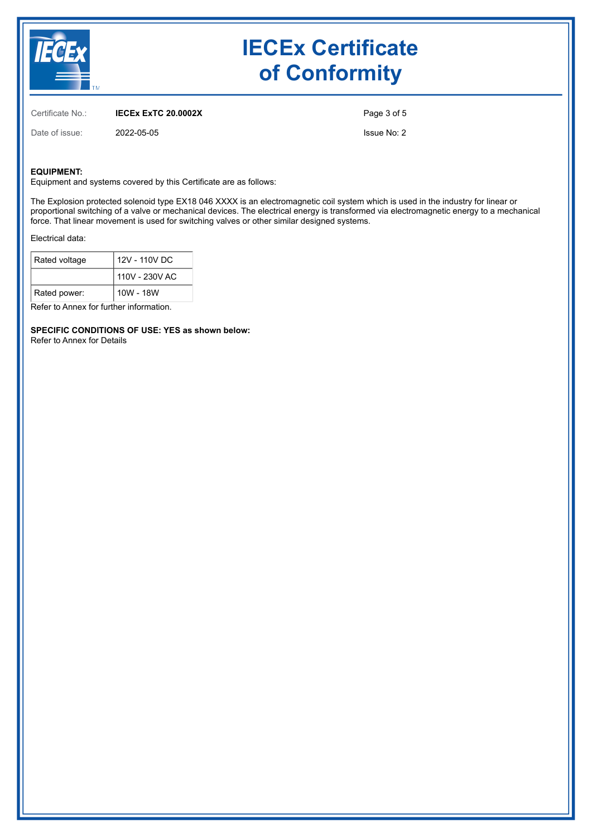

Certificate No.: **IECEx ExTC 20.0002X**

Date of issue: 2022-05-05

Page 3 of 5

Issue No: 2

#### **EQUIPMENT:**

Equipment and systems covered by this Certificate are as follows:

The Explosion protected solenoid type EX18 046 XXXX is an electromagnetic coil system which is used in the industry for linear or proportional switching of a valve or mechanical devices. The electrical energy is transformed via electromagnetic energy to a mechanical force. That linear movement is used for switching valves or other similar designed systems.

Electrical data:

| Rated voltage | 12V - 110V DC  |  |  |
|---------------|----------------|--|--|
|               | 110V - 230V AC |  |  |
| Rated power:  | 10W - 18W      |  |  |

Refer to Annex for further information.

**SPECIFIC CONDITIONS OF USE: YES as shown below:** Refer to Annex for Details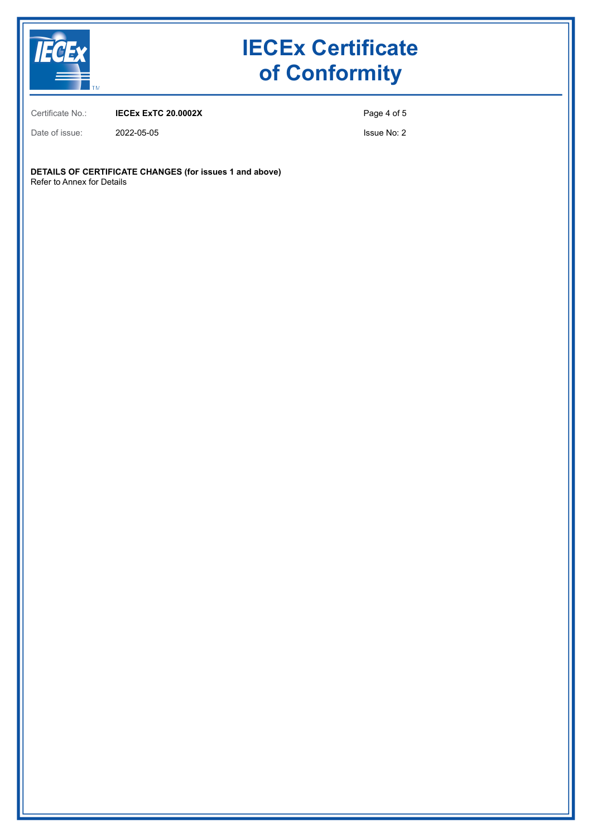

Certificate No.: **IECEx ExTC 20.0002X**

Page 4 of 5

Date of issue: 2022-05-05

Issue No: 2

**DETAILS OF CERTIFICATE CHANGES (for issues 1 and above)** Refer to Annex for Details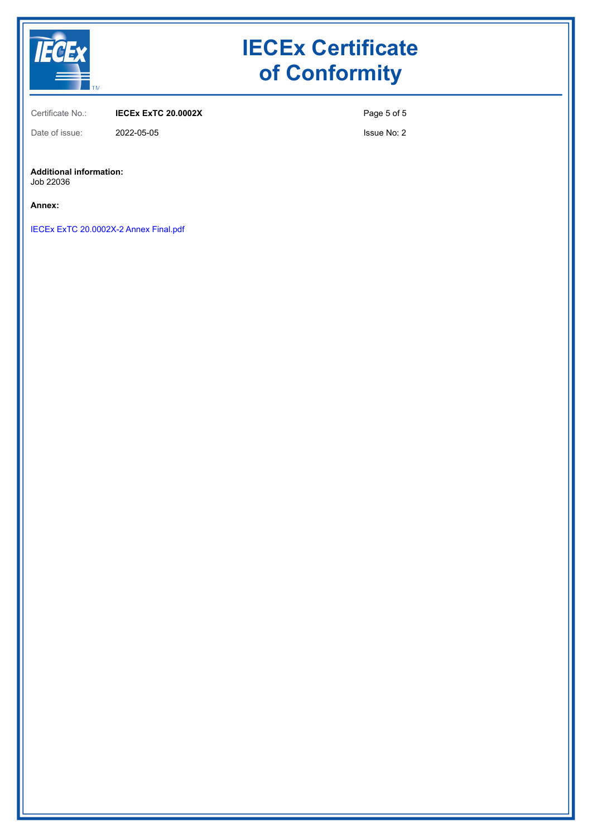

Certificate No.: **IECEx ExTC 20.0002X**

Page 5 of 5

Date of issue: 2022-05-05

Issue No: 2

#### **Additional information:**

Job 22036

**Annex:**

IECEx ExTC 20.0002X-2 Annex Final.pdf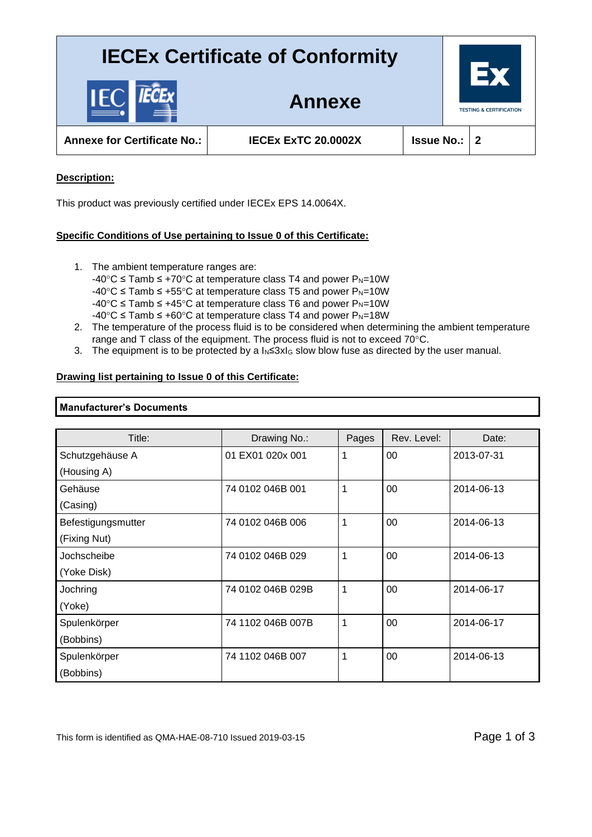

**Annexe for Certificate No.: IECEx ExTC 20.0002X Issue No.: 2**

**Annexe**

### **Description:**

This product was previously certified under IECEx EPS 14.0064X.

### **Specific Conditions of Use pertaining to Issue 0 of this Certificate:**

- 1. The ambient temperature ranges are: -40°C  $\le$  Tamb  $\le$  +70°C at temperature class T4 and power P<sub>N</sub>=10W -40°C ≤ Tamb ≤ +55°C at temperature class T5 and power P<sub>N=10</sub>W  $-40^{\circ}$ C  $\le$  Tamb  $\le$  +45°C at temperature class T6 and power P<sub>N</sub>=10W
	- $-40^{\circ}$ C  $\le$  Tamb  $\le$  +60°C at temperature class T4 and power P<sub>N</sub>=18W
- 2. The temperature of the process fluid is to be considered when determining the ambient temperature range and T class of the equipment. The process fluid is not to exceed 70°C.
- 3. The equipment is to be protected by a  $I_N \leq 3xI_G$  slow blow fuse as directed by the user manual.

#### **Drawing list pertaining to Issue 0 of this Certificate:**

#### **Manufacturer's Documents**

| Title:             | Drawing No.:      | Pages | Rev. Level: | Date:      |
|--------------------|-------------------|-------|-------------|------------|
| Schutzgehäuse A    | 01 EX01 020x 001  | 1     | 00          | 2013-07-31 |
| (Housing A)        |                   |       |             |            |
| Gehäuse            | 74 0102 046B 001  | 1     | 00          | 2014-06-13 |
| (Casing)           |                   |       |             |            |
| Befestigungsmutter | 74 0102 046B 006  | 1     | 00          | 2014-06-13 |
| (Fixing Nut)       |                   |       |             |            |
| Jochscheibe        | 74 0102 046B 029  | 1     | 00          | 2014-06-13 |
| (Yoke Disk)        |                   |       |             |            |
| Jochring           | 74 0102 046B 029B | 1     | 00          | 2014-06-17 |
| (Yoke)             |                   |       |             |            |
| Spulenkörper       | 74 1102 046B 007B | 1     | 00          | 2014-06-17 |
| (Bobbins)          |                   |       |             |            |
| Spulenkörper       | 74 1102 046B 007  | 1     | 00          | 2014-06-13 |
| (Bobbins)          |                   |       |             |            |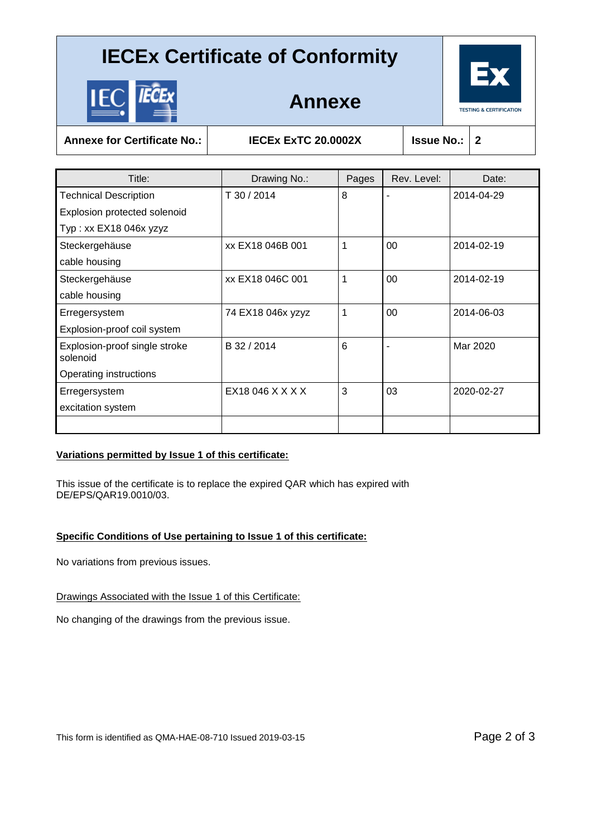

**Annexe**

**Annexe for Certificate No.: IECEx ExTC 20.0002X Issue No.: 2**

| Title:                                    | Drawing No.:      | Pages | Rev. Level: | Date:      |
|-------------------------------------------|-------------------|-------|-------------|------------|
| <b>Technical Description</b>              | T 30 / 2014       | 8     | ۰           | 2014-04-29 |
| Explosion protected solenoid              |                   |       |             |            |
| Typ: xx EX18 046x yzyz                    |                   |       |             |            |
| Steckergehäuse                            | xx EX18 046B 001  |       | 00          | 2014-02-19 |
| cable housing                             |                   |       |             |            |
| Steckergehäuse                            | xx EX18 046C 001  | 1     | 00          | 2014-02-19 |
| cable housing                             |                   |       |             |            |
| Erregersystem                             | 74 EX18 046x yzyz | 1     | 00          | 2014-06-03 |
| Explosion-proof coil system               |                   |       |             |            |
| Explosion-proof single stroke<br>solenoid | B 32 / 2014       | 6     | ٠           | Mar 2020   |
| Operating instructions                    |                   |       |             |            |
| Erregersystem                             | EX18 046 X X X X  | 3     | 03          | 2020-02-27 |
| excitation system                         |                   |       |             |            |
|                                           |                   |       |             |            |

### **Variations permitted by Issue 1 of this certificate:**

This issue of the certificate is to replace the expired QAR which has expired with DE/EPS/QAR19.0010/03.

## **Specific Conditions of Use pertaining to Issue 1 of this certificate:**

No variations from previous issues.

Drawings Associated with the Issue 1 of this Certificate:

No changing of the drawings from the previous issue.